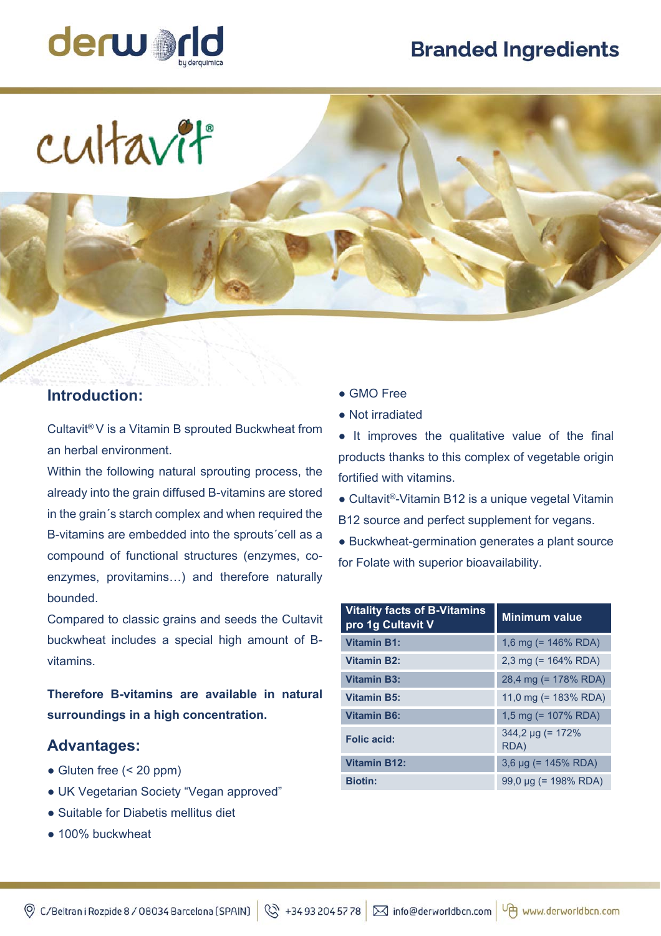# **Branded Ingredients**



cultavit

### **Introduction:**

Cultavit® V is a Vitamin B sprouted Buckwheat from an herbal environment.

Within the following natural sprouting process, the already into the grain diffused B-vitamins are stored in the grain´s starch complex and when required the B-vitamins are embedded into the sprouts´cell as a compound of functional structures (enzymes, coenzymes, provitamins…) and therefore naturally bounded.

Compared to classic grains and seeds the Cultavit buckwheat includes a special high amount of Bvitamins.

**Therefore B-vitamins are available in natural surroundings in a high concentration.** 

#### **Advantages:**

- **●** Gluten free (< 20 ppm)
- UK Vegetarian Society "Vegan approved"
- Suitable for Diabetis mellitus diet
- 100% buckwheat
- GMO Free
- Not irradiated

● It improves the qualitative value of the final products thanks to this complex of vegetable origin fortified with vitamins.

**●** Cultavit®-Vitamin B12 is a unique vegetal Vitamin B12 source and perfect supplement for vegans.

● Buckwheat-germination generates a plant source for Folate with superior bioavailability.

| <b>Vitality facts of B-Vitamins</b><br>pro 1g Cultavit V | Minimum value                  |
|----------------------------------------------------------|--------------------------------|
| <b>Vitamin B1:</b>                                       | 1,6 mg (= $146\%$ RDA)         |
| <b>Vitamin B2:</b>                                       | 2,3 mg (= $164\%$ RDA)         |
| <b>Vitamin B3:</b>                                       | 28,4 mg (= 178% RDA)           |
| <b>Vitamin B5:</b>                                       | 11,0 mg (= $183\%$ RDA)        |
| <b>Vitamin B6:</b>                                       | 1,5 mg (= $107\%$ RDA)         |
| Folic acid:                                              | $344.2 \mu q (= 172\%$<br>RDA) |
| <b>Vitamin B12:</b>                                      | $3,6 \mu g$ (= 145% RDA)       |
| <b>Biotin:</b>                                           | 99,0 µg (= 198% RDA)           |